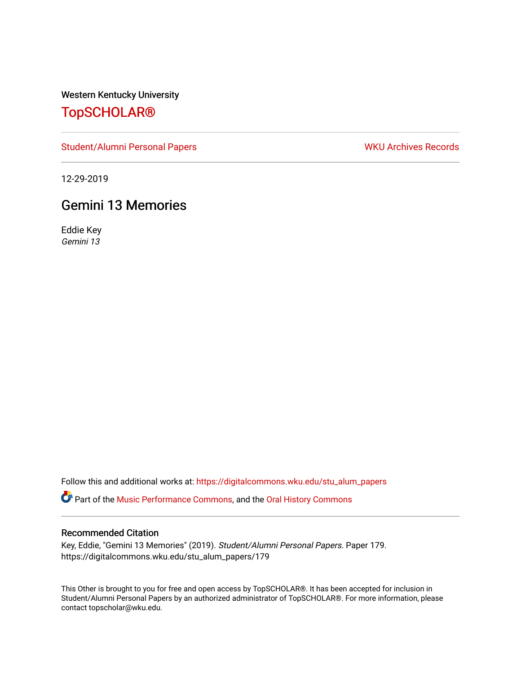Western Kentucky University

## [TopSCHOLAR®](https://digitalcommons.wku.edu/)

[Student/Alumni Personal Papers](https://digitalcommons.wku.edu/stu_alum_papers) WKU Archives Records

12-29-2019

## Gemini 13 Memories

Eddie Key Gemini 13

Follow this and additional works at: [https://digitalcommons.wku.edu/stu\\_alum\\_papers](https://digitalcommons.wku.edu/stu_alum_papers?utm_source=digitalcommons.wku.edu%2Fstu_alum_papers%2F179&utm_medium=PDF&utm_campaign=PDFCoverPages) 

**C** Part of the [Music Performance Commons](http://network.bepress.com/hgg/discipline/1128?utm_source=digitalcommons.wku.edu%2Fstu_alum_papers%2F179&utm_medium=PDF&utm_campaign=PDFCoverPages), and the Oral History Commons

## Recommended Citation

Key, Eddie, "Gemini 13 Memories" (2019). Student/Alumni Personal Papers. Paper 179. https://digitalcommons.wku.edu/stu\_alum\_papers/179

This Other is brought to you for free and open access by TopSCHOLAR®. It has been accepted for inclusion in Student/Alumni Personal Papers by an authorized administrator of TopSCHOLAR®. For more information, please contact topscholar@wku.edu.